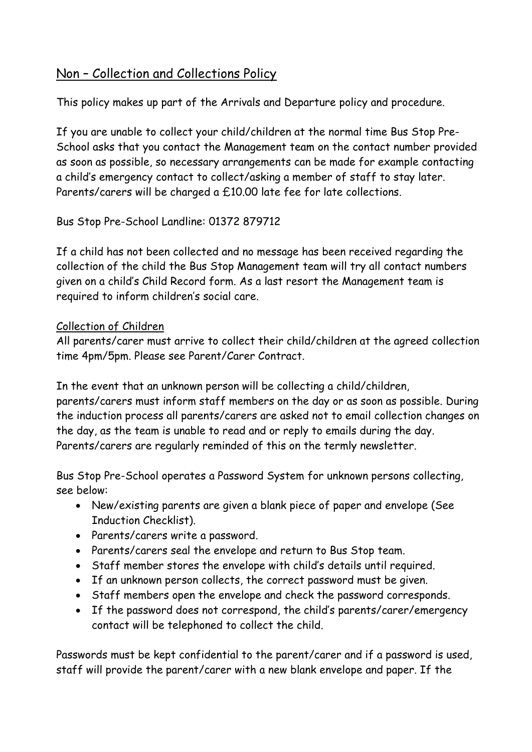## Non – Collection and Collections Policy

This policy makes up part of the Arrivals and Departure policy and procedure.

If you are unable to collect your child/children at the normal time Bus Stop Pre-School asks that you contact the Management team on the contact number provided as soon as possible, so necessary arrangements can be made for example contacting a child's emergency contact to collect/asking a member of staff to stay later. Parents/carers will be charged a £10.00 late fee for late collections.

Bus Stop Pre-School Landline: 01372 879712

If a child has not been collected and no message has been received regarding the collection of the child the Bus Stop Management team will try all contact numbers given on a child's Child Record form. As a last resort the Management team is required to inform children's social care.

## Collection of Children

All parents/carer must arrive to collect their child/children at the agreed collection time 4pm/5pm. Please see Parent/Carer Contract.

In the event that an unknown person will be collecting a child/children, parents/carers must inform staff members on the day or as soon as possible. During the induction process all parents/carers are asked not to email collection changes on the day, as the team is unable to read and or reply to emails during the day. Parents/carers are regularly reminded of this on the termly newsletter.

Bus Stop Pre-School operates a Password System for unknown persons collecting, see below:

- New/existing parents are given a blank piece of paper and envelope (See Induction Checklist).
- Parents/carers write a password.
- Parents/carers seal the envelope and return to Bus Stop team.
- Staff member stores the envelope with child's details until required.
- If an unknown person collects, the correct password must be given.
- Staff members open the envelope and check the password corresponds.
- If the password does not correspond, the child's parents/carer/emergency contact will be telephoned to collect the child.

Passwords must be kept confidential to the parent/carer and if a password is used, staff will provide the parent/carer with a new blank envelope and paper. If the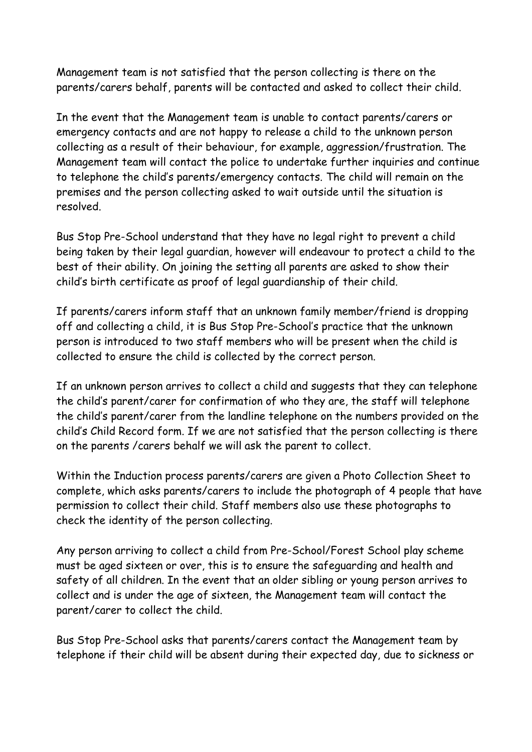Management team is not satisfied that the person collecting is there on the parents/carers behalf, parents will be contacted and asked to collect their child.

In the event that the Management team is unable to contact parents/carers or emergency contacts and are not happy to release a child to the unknown person collecting as a result of their behaviour, for example, aggression/frustration. The Management team will contact the police to undertake further inquiries and continue to telephone the child's parents/emergency contacts. The child will remain on the premises and the person collecting asked to wait outside until the situation is resolved.

Bus Stop Pre-School understand that they have no legal right to prevent a child being taken by their legal guardian, however will endeavour to protect a child to the best of their ability. On joining the setting all parents are asked to show their child's birth certificate as proof of legal guardianship of their child.

If parents/carers inform staff that an unknown family member/friend is dropping off and collecting a child, it is Bus Stop Pre-School's practice that the unknown person is introduced to two staff members who will be present when the child is collected to ensure the child is collected by the correct person.

If an unknown person arrives to collect a child and suggests that they can telephone the child's parent/carer for confirmation of who they are, the staff will telephone the child's parent/carer from the landline telephone on the numbers provided on the child's Child Record form. If we are not satisfied that the person collecting is there on the parents /carers behalf we will ask the parent to collect.

Within the Induction process parents/carers are given a Photo Collection Sheet to complete, which asks parents/carers to include the photograph of 4 people that have permission to collect their child. Staff members also use these photographs to check the identity of the person collecting.

Any person arriving to collect a child from Pre-School/Forest School play scheme must be aged sixteen or over, this is to ensure the safeguarding and health and safety of all children. In the event that an older sibling or young person arrives to collect and is under the age of sixteen, the Management team will contact the parent/carer to collect the child.

Bus Stop Pre-School asks that parents/carers contact the Management team by telephone if their child will be absent during their expected day, due to sickness or